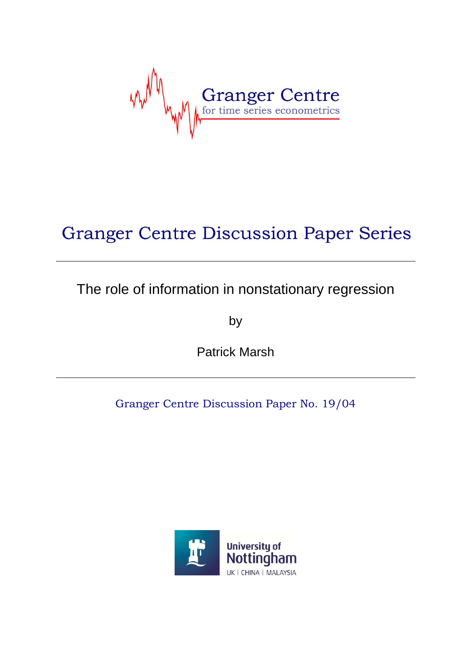Granger Centre

# **Granger Centre Discussion Paper Series**

## The role of information in nonstationary regression

by

Patrick Marsh

Granger Centre Discussion Paper No. 19/04

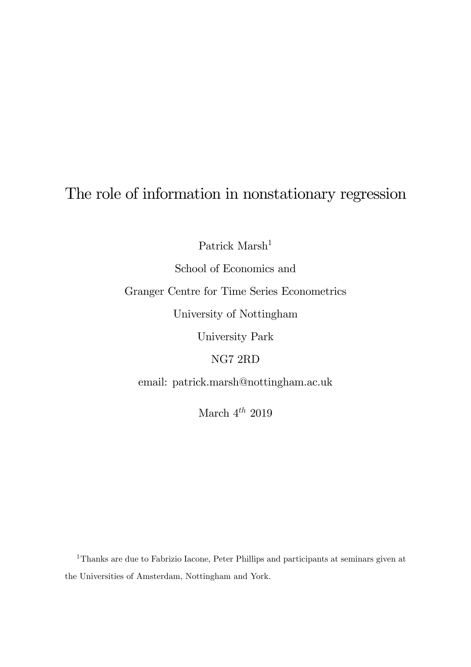## The role of information in nonstationary regression

Patrick Marsh<sup>1</sup>

School of Economics and

Granger Centre for Time Series Econometrics

University of Nottingham

University Park

NG7 2RD

email: patrick.marsh@nottingham.ac.uk

March  $4^{th}$  2019

<sup>1</sup>Thanks are due to Fabrizio Iacone, Peter Phillips and participants at seminars given at the Universities of Amsterdam, Nottingham and York.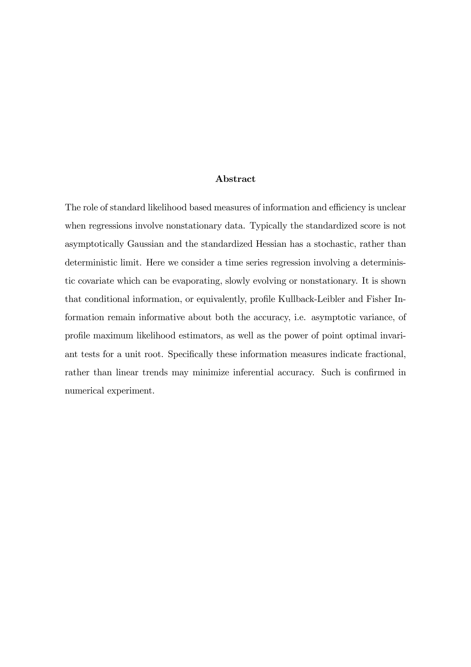#### Abstract

The role of standard likelihood based measures of information and efficiency is unclear when regressions involve nonstationary data. Typically the standardized score is not asymptotically Gaussian and the standardized Hessian has a stochastic, rather than deterministic limit. Here we consider a time series regression involving a deterministic covariate which can be evaporating, slowly evolving or nonstationary. It is shown that conditional information, or equivalently, profile Kullback-Leibler and Fisher Information remain informative about both the accuracy, i.e. asymptotic variance, of profile maximum likelihood estimators, as well as the power of point optimal invariant tests for a unit root. Specifically these information measures indicate fractional, rather than linear trends may minimize inferential accuracy. Such is confirmed in numerical experiment.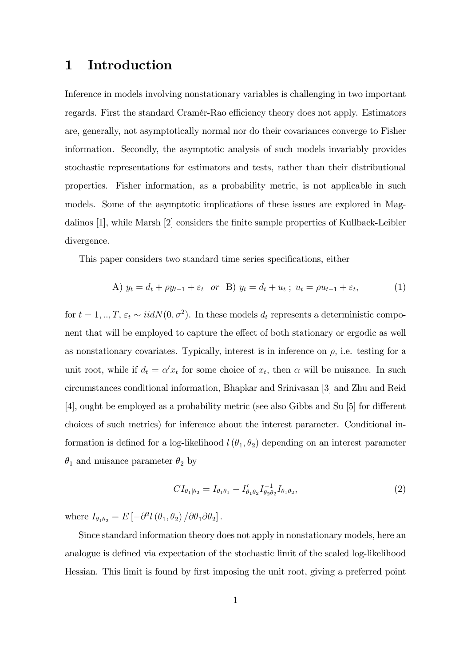### 1 Introduction

Inference in models involving nonstationary variables is challenging in two important regards. First the standard Cramér-Rao efficiency theory does not apply. Estimators are, generally, not asymptotically normal nor do their covariances converge to Fisher information. Secondly, the asymptotic analysis of such models invariably provides stochastic representations for estimators and tests, rather than their distributional properties. Fisher information, as a probability metric, is not applicable in such models. Some of the asymptotic implications of these issues are explored in Magdalinos [1], while Marsh [2] considers the finite sample properties of Kullback-Leibler divergence.

This paper considers two standard time series specifications, either

A) 
$$
y_t = d_t + \rho y_{t-1} + \varepsilon_t
$$
 or B)  $y_t = d_t + u_t$ ;  $u_t = \rho u_{t-1} + \varepsilon_t$ , (1)

for  $t = 1, ..., T$ ,  $\varepsilon_t \sim \text{iidN}(0, \sigma^2)$ . In these models  $d_t$  represents a deterministic component that will be employed to capture the effect of both stationary or ergodic as well as nonstationary covariates. Typically, interest is in inference on  $\rho$ , i.e. testing for a unit root, while if  $d_t = \alpha' x_t$  for some choice of  $x_t$ , then  $\alpha$  will be nuisance. In such circumstances conditional information, Bhapkar and Srinivasan [3] and Zhu and Reid  $[4]$ , ought be employed as a probability metric (see also Gibbs and Su  $[5]$  for different choices of such metrics) for inference about the interest parameter. Conditional information is defined for a log-likelihood  $l(\theta_1, \theta_2)$  depending on an interest parameter  $\theta_1$  and nuisance parameter  $\theta_2$  by

$$
CI_{\theta_1|\theta_2} = I_{\theta_1\theta_1} - I'_{\theta_1\theta_2} I_{\theta_2\theta_2}^{-1} I_{\theta_1\theta_2},
$$
\n(2)

where  $I_{\theta_1\theta_2} = E \left[ -\partial^2 l \left( \theta_1, \theta_2 \right) / \partial \theta_1 \partial \theta_2 \right]$ .

Since standard information theory does not apply in nonstationary models, here an analogue is defined via expectation of the stochastic limit of the scaled log-likelihood Hessian. This limit is found by first imposing the unit root, giving a preferred point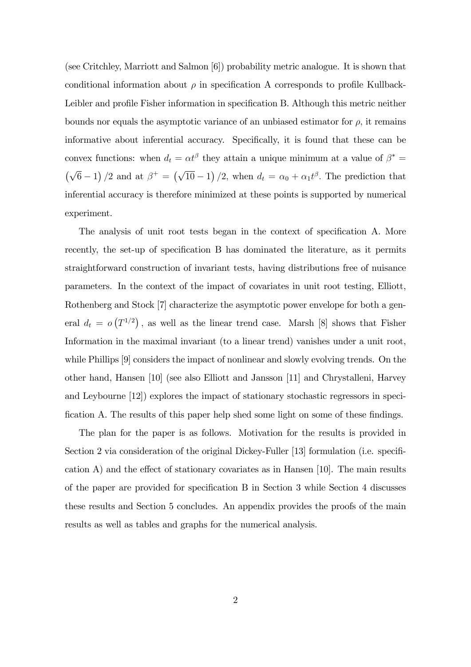(see Critchley, Marriott and Salmon [6]) probability metric analogue. It is shown that conditional information about  $\rho$  in specification A corresponds to profile Kullback-Leibler and profile Fisher information in specification B. Although this metric neither bounds nor equals the asymptotic variance of an unbiased estimator for  $\rho$ , it remains informative about inferential accuracy. Specifically, it is found that these can be convex functions: when  $d_t = \alpha t^{\beta}$  they attain a unique minimum at a value of  $\beta^* =$  $(\sqrt{6}-1)/2$  and at  $\beta^+ = (\sqrt{10}-1)/2$ , when  $d_t = \alpha_0 + \alpha_1 t^{\beta}$ . The prediction that inferential accuracy is therefore minimized at these points is supported by numerical experiment.

The analysis of unit root tests began in the context of specification A. More recently, the set-up of specification B has dominated the literature, as it permits straightforward construction of invariant tests, having distributions free of nuisance parameters. In the context of the impact of covariates in unit root testing, Elliott, Rothenberg and Stock [7] characterize the asymptotic power envelope for both a general  $d_t = o(T^{1/2})$ , as well as the linear trend case. Marsh [8] shows that Fisher Information in the maximal invariant (to a linear trend) vanishes under a unit root, while Phillips [9] considers the impact of nonlinear and slowly evolving trends. On the other hand, Hansen [10] (see also Elliott and Jansson [11] and Chrystalleni, Harvey and Leybourne [12]) explores the impact of stationary stochastic regressors in specification A. The results of this paper help shed some light on some of these findings.

The plan for the paper is as follows. Motivation for the results is provided in Section 2 via consideration of the original Dickey-Fuller [13] formulation (i.e. specification A) and the effect of stationary covariates as in Hansen  $[10]$ . The main results of the paper are provided for specification B in Section 3 while Section 4 discusses these results and Section 5 concludes. An appendix provides the proofs of the main results as well as tables and graphs for the numerical analysis.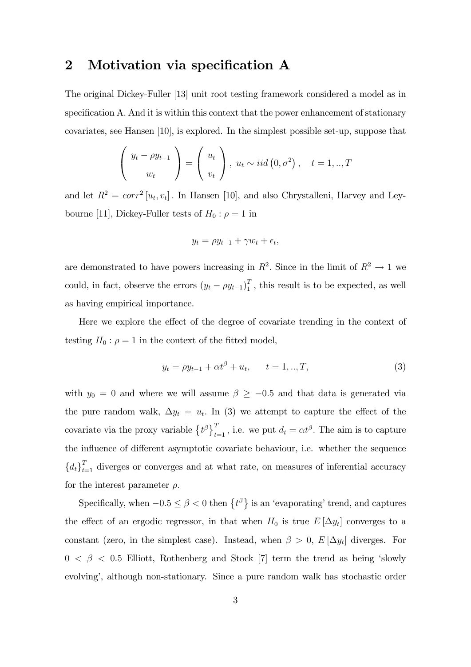### 2 Motivation via specification A

The original Dickey-Fuller [13] unit root testing framework considered a model as in specification A. And it is within this context that the power enhancement of stationary covariates, see Hansen [10], is explored. In the simplest possible set-up, suppose that

$$
\begin{pmatrix} y_t - \rho y_{t-1} \\ w_t \end{pmatrix} = \begin{pmatrix} u_t \\ v_t \end{pmatrix}, u_t \sim iid(0, \sigma^2), \quad t = 1,.., T
$$

and let  $R^2 = corr^2[u_t, v_t]$ . In Hansen [10], and also Chrystalleni, Harvey and Leybourne [11], Dickey-Fuller tests of  $H_0: \rho = 1$  in

$$
y_t = \rho y_{t-1} + \gamma w_t + \epsilon_t,
$$

are demonstrated to have powers increasing in  $R^2$ . Since in the limit of  $R^2 \to 1$  we could, in fact, observe the errors  $(y_t - \rho y_{t-1})_1^T$  $\frac{1}{1}$ , this result is to be expected, as well as having empirical importance.

Here we explore the effect of the degree of covariate trending in the context of testing  $H_0$ :  $\rho = 1$  in the context of the fitted model,

$$
y_t = \rho y_{t-1} + \alpha t^{\beta} + u_t, \qquad t = 1, ..., T,
$$
\n(3)

with  $y_0 = 0$  and where we will assume  $\beta \ge -0.5$  and that data is generated via the pure random walk,  $\Delta y_t = u_t$ . In (3) we attempt to capture the effect of the covariate via the proxy variable  $\{t^{\beta}\}_{t=1}^{T}$ , i.e. we put  $d_{t} = \alpha t^{\beta}$ . The aim is to capture the influence of different asymptotic covariate behaviour, i.e. whether the sequence  ${d_t}_{t=1}^T$  diverges or converges and at what rate, on measures of inferential accuracy for the interest parameter  $\rho$ .

Specifically, when  $-0.5 \le \beta < 0$  then  $\{t^{\beta}\}\$ is an 'evaporating' trend, and captures the effect of an ergodic regressor, in that when  $H_0$  is true  $E[\Delta y_t]$  converges to a constant (zero, in the simplest case). Instead, when  $\beta > 0$ ,  $E[\Delta y_t]$  diverges. For  $0 \leq \beta \leq 0.5$  Elliott, Rothenberg and Stock [7] term the trend as being 'slowly evolving', although non-stationary. Since a pure random walk has stochastic order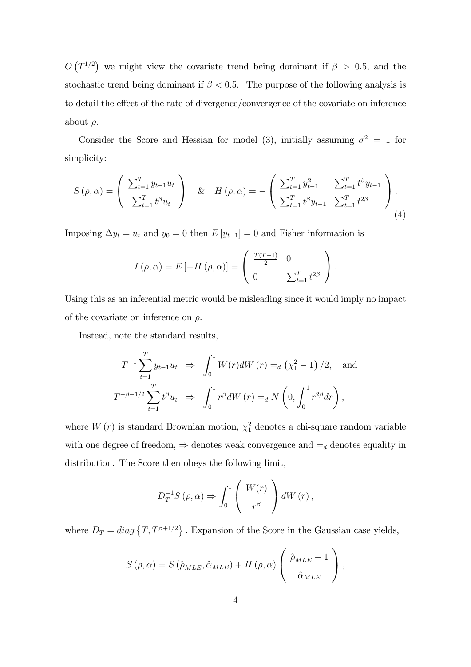$O(T^{1/2})$  we might view the covariate trend being dominant if  $\beta > 0.5$ , and the stochastic trend being dominant if  $\beta < 0.5$ . The purpose of the following analysis is to detail the effect of the rate of divergence/convergence of the covariate on inference about  $\rho$ .

Consider the Score and Hessian for model (3), initially assuming  $\sigma^2 = 1$  for simplicity:

$$
S(\rho,\alpha) = \begin{pmatrix} \sum_{t=1}^{T} y_{t-1} u_t \\ \sum_{t=1}^{T} t^{\beta} u_t \end{pmatrix} \& H(\rho,\alpha) = -\begin{pmatrix} \sum_{t=1}^{T} y_{t-1}^2 & \sum_{t=1}^{T} t^{\beta} y_{t-1} \\ \sum_{t=1}^{T} t^{\beta} y_{t-1} & \sum_{t=1}^{T} t^{2\beta} \end{pmatrix}.
$$
\n(4)

Imposing  $\Delta y_t = u_t$  and  $y_0 = 0$  then  $E[y_{t-1}] = 0$  and Fisher information is

$$
I(\rho,\alpha) = E\left[-H(\rho,\alpha)\right] = \begin{pmatrix} \frac{T(T-1)}{2} & 0 \\ 0 & \sum_{t=1}^{T} t^{2\beta} \end{pmatrix}.
$$

Using this as an inferential metric would be misleading since it would imply no impact of the covariate on inference on  $\rho$ .

Instead, note the standard results,

$$
T^{-1} \sum_{t=1}^{T} y_{t-1} u_t \Rightarrow \int_0^1 W(r) dW(r) =_d (\chi_1^2 - 1) / 2, \text{ and}
$$
  

$$
T^{-\beta - 1/2} \sum_{t=1}^{T} t^{\beta} u_t \Rightarrow \int_0^1 r^{\beta} dW(r) =_d N \left( 0, \int_0^1 r^{2\beta} dr \right),
$$

where  $W(r)$  is standard Brownian motion,  $\chi_1^2$  denotes a chi-square random variable with one degree of freedom,  $\Rightarrow$  denotes weak convergence and  $=_d$  denotes equality in distribution. The Score then obeys the following limit,

$$
D_T^{-1}S\left(\rho,\alpha\right) \Rightarrow \int_0^1 \left(\begin{array}{c} W(r) \\ r^{\beta} \end{array}\right)dW\left(r\right),\,
$$

where  $D_T = diag\{T, T^{\beta+1/2}\}\.$  Expansion of the Score in the Gaussian case yields,

$$
S(\rho, \alpha) = S(\hat{\rho}_{MLE}, \hat{\alpha}_{MLE}) + H(\rho, \alpha) \left( \begin{array}{c} \hat{\rho}_{MLE} - 1 \\ \hat{\alpha}_{MLE} \end{array} \right),
$$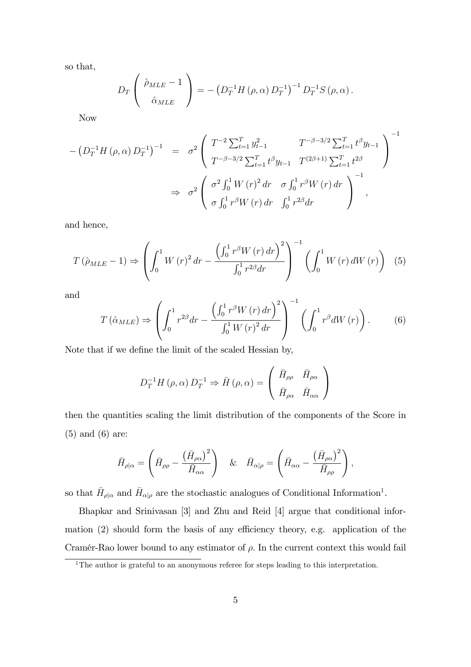so that,

$$
D_T\left(\begin{array}{c} \hat{\rho}_{MLE} - 1\\ \hat{\alpha}_{MLE} \end{array}\right) = -\left(D_T^{-1}H\left(\rho, \alpha\right)D_T^{-1}\right)^{-1}D_T^{-1}S\left(\rho, \alpha\right).
$$

Now

$$
-(D_T^{-1}H(\rho,\alpha)D_T^{-1})^{-1} = \sigma^2 \left( \begin{array}{cc} T^{-2}\sum_{t=1}^T y_{t-1}^2 & T^{-\beta-3/2}\sum_{t=1}^T t^{\beta}y_{t-1} \\ T^{-\beta-3/2}\sum_{t=1}^T t^{\beta}y_{t-1} & T^{(2\beta+1)}\sum_{t=1}^T t^{2\beta} \end{array} \right)^{-1}
$$
  

$$
\Rightarrow \sigma^2 \left( \begin{array}{cc} \sigma^2 \int_0^1 W(r)^2 dr & \sigma \int_0^1 r^{\beta} W(r) dr \\ \sigma \int_0^1 r^{\beta} W(r) dr & \int_0^1 r^{2\beta} dr \end{array} \right)^{-1},
$$

and hence,

$$
T(\hat{\rho}_{MLE} - 1) \Rightarrow \left( \int_0^1 W(r)^2 dr - \frac{\left( \int_0^1 r^\beta W(r) dr \right)^2}{\int_0^1 r^{2\beta} dr} \right)^{-1} \left( \int_0^1 W(r) dW(r) \right) (5)
$$

and

$$
T\left(\hat{\alpha}_{MLE}\right) \Rightarrow \left(\int_0^1 r^{2\beta} dr - \frac{\left(\int_0^1 r^{\beta} W\left(r\right) dr\right)^2}{\int_0^1 W\left(r\right)^2 dr}\right)^{-1} \left(\int_0^1 r^{\beta} dW\left(r\right)\right). \tag{6}
$$

Note that if we define the limit of the scaled Hessian by,

$$
D_T^{-1}H(\rho,\alpha) D_T^{-1} \Rightarrow \bar{H}(\rho,\alpha) = \begin{pmatrix} \bar{H}_{\rho\rho} & \bar{H}_{\rho\alpha} \\ \bar{H}_{\rho\alpha} & \bar{H}_{\alpha\alpha} \end{pmatrix}
$$

then the quantities scaling the limit distribution of the components of the Score in (5) and (6) are:

$$
\bar{H}_{\rho|\alpha} = \left(\bar{H}_{\rho\rho} - \frac{\left(\bar{H}_{\rho\alpha}\right)^2}{\bar{H}_{\alpha\alpha}}\right) \quad \& \quad \bar{H}_{\alpha|\rho} = \left(\bar{H}_{\alpha\alpha} - \frac{\left(\bar{H}_{\rho\alpha}\right)^2}{\bar{H}_{\rho\rho}}\right),
$$

so that  $\bar{H}_{\rho|\alpha}$  and  $\bar{H}_{\alpha|\rho}$  are the stochastic analogues of Conditional Information<sup>1</sup>.

Bhapkar and Srinivasan [3] and Zhu and Reid [4] argue that conditional information  $(2)$  should form the basis of any efficiency theory, e.g. application of the Cramér-Rao lower bound to any estimator of  $\rho$ . In the current context this would fail

<sup>&</sup>lt;sup>1</sup>The author is grateful to an anonymous referee for steps leading to this interpretation.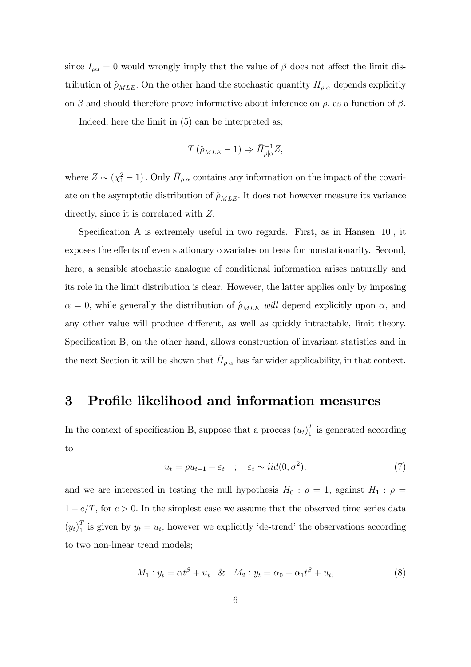since  $I_{\rho\alpha} = 0$  would wrongly imply that the value of  $\beta$  does not affect the limit distribution of  $\hat{\rho}_{MLE}$ . On the other hand the stochastic quantity  $\bar{H}_{\rho|\alpha}$  depends explicitly on  $\beta$  and should therefore prove informative about inference on  $\rho$ , as a function of  $\beta$ .

Indeed, here the limit in (5) can be interpreted as;

$$
T(\hat{\rho}_{MLE} - 1) \Rightarrow \bar{H}_{\rho|\alpha}^{-1}Z,
$$

where  $Z \sim (\chi_1^2 - 1)$ . Only  $\bar{H}_{\rho|\alpha}$  contains any information on the impact of the covariate on the asymptotic distribution of  $\hat{\rho}_{MLE}$ . It does not however measure its variance directly, since it is correlated with  $Z$ .

Specification A is extremely useful in two regards. First, as in Hansen  $[10]$ , it exposes the effects of even stationary covariates on tests for nonstationarity. Second, here, a sensible stochastic analogue of conditional information arises naturally and its role in the limit distribution is clear. However, the latter applies only by imposing  $\alpha = 0$ , while generally the distribution of  $\hat{\rho}_{MLE}$  will depend explicitly upon  $\alpha$ , and any other value will produce different, as well as quickly intractable, limit theory. Specification B, on the other hand, allows construction of invariant statistics and in the next Section it will be shown that  $\bar{H}_{\rho|\alpha}$  has far wider applicability, in that context.

### 3 Profile likelihood and information measures

In the context of specification B, suppose that a process  $(u_t)_1^T$  $\frac{1}{1}$  is generated according to

$$
u_t = \rho u_{t-1} + \varepsilon_t \quad ; \quad \varepsilon_t \sim \text{iid}(0, \sigma^2), \tag{7}
$$

and we are interested in testing the null hypothesis  $H_0$ :  $\rho = 1$ , against  $H_1$ :  $\rho =$  $1 - c/T$ , for  $c > 0$ . In the simplest case we assume that the observed time series data  $(y_t)_1^T$  $\frac{1}{1}$  is given by  $y_t = u_t$ , however we explicitly 'de-trend' the observations according to two non-linear trend models;

$$
M_1: y_t = \alpha t^{\beta} + u_t \& M_2: y_t = \alpha_0 + \alpha_1 t^{\beta} + u_t,
$$
\n(8)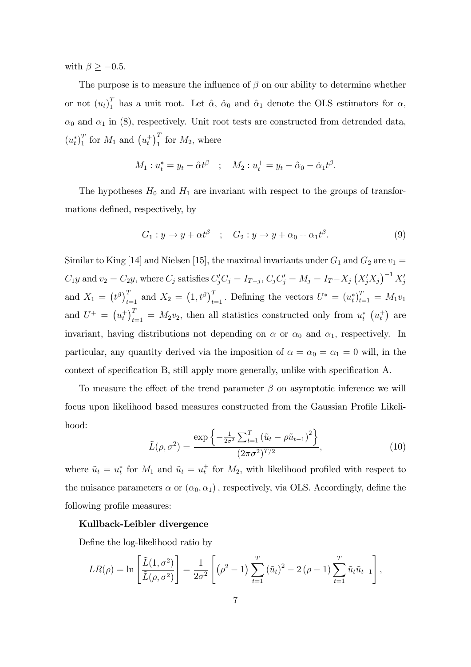with  $\beta \ge -0.5$ .

The purpose is to measure the influence of  $\beta$  on our ability to determine whether or not  $(u_t)_{1}^{T}$  $\hat{I}_1$  has a unit root. Let  $\hat{\alpha}$ ,  $\hat{\alpha}_0$  and  $\hat{\alpha}_1$  denote the OLS estimators for  $\alpha$ ,  $\alpha_0$  and  $\alpha_1$  in (8), respectively. Unit root tests are constructed from detrended data,  $(u_t^*)_1^T$  $\frac{T}{1}$  for  $M_1$  and  $\left(u_t^+\right)_1^T$  for  $M_2$ , where

$$
M_1: u_t^* = y_t - \hat{\alpha}t^{\beta} \quad ; \quad M_2: u_t^+ = y_t - \hat{\alpha}_0 - \hat{\alpha}_1t^{\beta}.
$$

The hypotheses  $H_0$  and  $H_1$  are invariant with respect to the groups of transformations defined, respectively, by

$$
G_1: y \to y + \alpha t^{\beta} \quad ; \quad G_2: y \to y + \alpha_0 + \alpha_1 t^{\beta}.
$$
 (9)

Similar to King [14] and Nielsen [15], the maximal invariants under  $G_1$  and  $G_2$  are  $v_1 =$  $C_1y$  and  $v_2 = C_2y$ , where  $C_j$  satisfies  $C'_jC_j = I_{T-j}$ ,  $C_jC'_j = M_j = I_T - X_j (X'_jX_j)^{-1} X'_j$ and  $X_1 = (t^{\beta})_{t=1}^T$  and  $X_2 = (1, t^{\beta})_{t=1}^T$ . Defining the vectors  $U^* = (u_t^*)_{t=1}^T = M_1v_1$ and  $U^+ = (u_t^+)_{t=1}^T = M_2v_2$ , then all statistics constructed only from  $u_t^*$   $(u_t^+)$  are invariant, having distributions not depending on  $\alpha$  or  $\alpha_0$  and  $\alpha_1$ , respectively. In particular, any quantity derived via the imposition of  $\alpha = \alpha_0 = \alpha_1 = 0$  will, in the context of specification B, still apply more generally, unlike with specification A.

To measure the effect of the trend parameter  $\beta$  on asymptotic inference we will focus upon likelihood based measures constructed from the Gaussian Profile Likelihood:

$$
\tilde{L}(\rho, \sigma^2) = \frac{\exp\left\{-\frac{1}{2\sigma^2} \sum_{t=1}^T (\tilde{u}_t - \rho \tilde{u}_{t-1})^2\right\}}{(2\pi\sigma^2)^{T/2}},
$$
\n(10)

where  $\tilde{u}_t = u_t^*$  for  $M_1$  and  $\tilde{u}_t = u_t^+$  for  $M_2$ , with likelihood profiled with respect to the nuisance parameters  $\alpha$  or  $(\alpha_0, \alpha_1)$ , respectively, via OLS. Accordingly, define the following profile measures:

#### Kullback-Leibler divergence

Define the log-likelihood ratio by

$$
LR(\rho) = \ln \left[ \frac{\tilde{L}(1, \sigma^2)}{\tilde{L}(\rho, \sigma^2)} \right] = \frac{1}{2\sigma^2} \left[ (\rho^2 - 1) \sum_{t=1}^T (\tilde{u}_t)^2 - 2(\rho - 1) \sum_{t=1}^T \tilde{u}_t \tilde{u}_{t-1} \right],
$$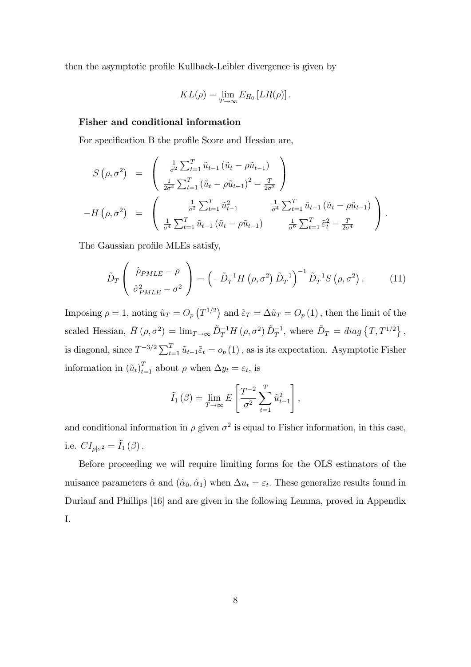then the asymptotic profile Kullback-Leibler divergence is given by

$$
KL(\rho) = \lim_{T \to \infty} E_{H_0} [LR(\rho)].
$$

#### Fisher and conditional information

For specification B the profile Score and Hessian are,

$$
S(\rho, \sigma^2) = \begin{pmatrix} \frac{1}{\sigma^2} \sum_{t=1}^T \tilde{u}_{t-1} (\tilde{u}_t - \rho \tilde{u}_{t-1}) \\ \frac{1}{2\sigma^4} \sum_{t=1}^T (\tilde{u}_t - \rho \tilde{u}_{t-1})^2 - \frac{T}{2\sigma^2} \end{pmatrix}
$$
  
-H(\rho, \sigma^2) = 
$$
\begin{pmatrix} \frac{1}{\sigma^2} \sum_{t=1}^T \tilde{u}_{t-1}^2 & \frac{1}{\sigma^4} \sum_{t=1}^T \tilde{u}_{t-1} (\tilde{u}_t - \rho \tilde{u}_{t-1}) \\ \frac{1}{\sigma^4} \sum_{t=1}^T \tilde{u}_{t-1} (\tilde{u}_t - \rho \tilde{u}_{t-1}) & \frac{1}{\sigma^6} \sum_{t=1}^T \tilde{\varepsilon}_t^2 - \frac{T}{2\sigma^4} \end{pmatrix}.
$$

The Gaussian profile MLEs satisfy,

$$
\tilde{D}_T \left( \begin{array}{c} \hat{\rho}_{PMLE} - \rho \\ \hat{\sigma}_{PMLE}^2 - \sigma^2 \end{array} \right) = \left( -\tilde{D}_T^{-1} H \left( \rho, \sigma^2 \right) \tilde{D}_T^{-1} \right)^{-1} \tilde{D}_T^{-1} S \left( \rho, \sigma^2 \right). \tag{11}
$$

Imposing  $\rho = 1$ , noting  $\tilde{u}_T = O_p(T^{1/2})$  and  $\tilde{\varepsilon}_T = \Delta \tilde{u}_T = O_p(T(1))$ , then the limit of the scaled Hessian,  $\bar{H}(\rho, \sigma^2) = \lim_{T \to \infty} \tilde{D}_T^{-1} H(\rho, \sigma^2) \tilde{D}_T^{-1}$ , where  $\tilde{D}_T = diag \{ T, T^{1/2} \}$ , is diagonal, since  $T^{-3/2} \sum_{t=1}^{T} \tilde{u}_{t-1} \tilde{\varepsilon}_t = o_p(1)$ , as is its expectation. Asymptotic Fisher information in  $(\tilde{u}_t)_{t=1}^T$  about  $\rho$  when  $\Delta y_t = \varepsilon_t$ , is

$$
\tilde{I}_1(\beta) = \lim_{T \to \infty} E\left[\frac{T^{-2}}{\sigma^2} \sum_{t=1}^T \tilde{u}_{t-1}^2\right],
$$

and conditional information in  $\rho$  given  $\sigma^2$  is equal to Fisher information, in this case, i.e.  $CI_{\rho|\sigma^2} = \tilde{I}_1(\beta)$ .

Before proceeding we will require limiting forms for the OLS estimators of the nuisance parameters  $\hat{\alpha}$  and  $(\hat{\alpha}_0, \hat{\alpha}_1)$  when  $\Delta u_t = \varepsilon_t$ . These generalize results found in Durlauf and Phillips [16] and are given in the following Lemma, proved in Appendix I.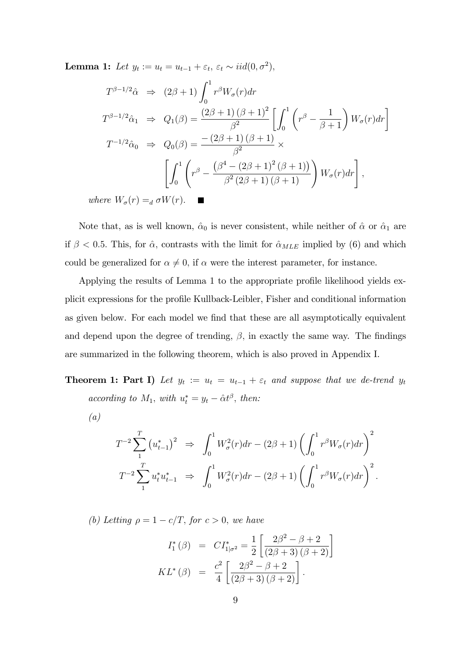**Lemma 1:** Let  $y_t := u_t = u_{t-1} + \varepsilon_t$ ,  $\varepsilon_t \sim \text{iid}(0, \sigma^2)$ ,

$$
T^{\beta-1/2}\hat{\alpha} \Rightarrow (2\beta+1)\int_0^1 r^{\beta}W_{\sigma}(r)dr
$$
  
\n
$$
T^{\beta-1/2}\hat{\alpha}_1 \Rightarrow Q_1(\beta) = \frac{(2\beta+1)(\beta+1)^2}{\beta^2} \left[\int_0^1 \left(r^{\beta} - \frac{1}{\beta+1}\right)W_{\sigma}(r)dr\right]
$$
  
\n
$$
T^{-1/2}\hat{\alpha}_0 \Rightarrow Q_0(\beta) = \frac{-(2\beta+1)(\beta+1)}{\beta^2} \times
$$
  
\n
$$
\left[\int_0^1 \left(r^{\beta} - \frac{(\beta^4 - (2\beta+1)^2(\beta+1))}{\beta^2(2\beta+1)(\beta+1)}\right)W_{\sigma}(r)dr\right],
$$
  
\n*ere*  $W_{\sigma}(r) =_d \sigma W(r).$ 

where  $W_{\sigma}(r) =_{d} \sigma W(r)$ .

Note that, as is well known,  $\hat{\alpha}_0$  is never consistent, while neither of  $\hat{\alpha}$  or  $\hat{\alpha}_1$  are if  $\beta$  < 0.5. This, for  $\hat{\alpha}$ , contrasts with the limit for  $\hat{\alpha}_{MLE}$  implied by (6) and which could be generalized for  $\alpha \neq 0$ , if  $\alpha$  were the interest parameter, for instance.

Applying the results of Lemma 1 to the appropriate profile likelihood yields explicit expressions for the profile Kullback-Leibler, Fisher and conditional information as given below. For each model we find that these are all asymptotically equivalent and depend upon the degree of trending,  $\beta$ , in exactly the same way. The findings are summarized in the following theorem, which is also proved in Appendix I.

**Theorem 1: Part I)** Let  $y_t := u_t = u_{t-1} + \varepsilon_t$  and suppose that we de-trend  $y_t$ according to  $M_1$ , with  $u_t^* = y_t - \hat{\alpha} t^{\beta}$ , then:

(a)

$$
T^{-2} \sum_{1}^{T} (u_{t-1}^{*})^{2} \Rightarrow \int_{0}^{1} W_{\sigma}^{2}(r) dr - (2\beta + 1) \left( \int_{0}^{1} r^{\beta} W_{\sigma}(r) dr \right)^{2}
$$

$$
T^{-2} \sum_{1}^{T} u_{t}^{*} u_{t-1}^{*} \Rightarrow \int_{0}^{1} W_{\sigma}^{2}(r) dr - (2\beta + 1) \left( \int_{0}^{1} r^{\beta} W_{\sigma}(r) dr \right)^{2}.
$$

(b) Letting  $\rho = 1 - c/T$ , for  $c > 0$ , we have

$$
I_1^*(\beta) = CI_{1|\sigma^2}^* = \frac{1}{2} \left[ \frac{2\beta^2 - \beta + 2}{(2\beta + 3)(\beta + 2)} \right]
$$

$$
KL^*(\beta) = \frac{c^2}{4} \left[ \frac{2\beta^2 - \beta + 2}{(2\beta + 3)(\beta + 2)} \right].
$$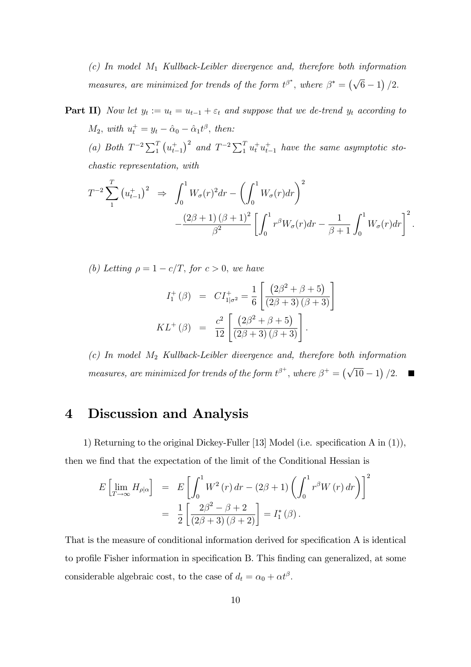$(c)$  In model  $M_1$  Kullback-Leibler divergence and, therefore both information measures, are minimized for trends of the form  $t^{\beta^*}$ , where  $\beta^* = (\sqrt{6}-1)/2$ .

**Part II)** Now let  $y_t := u_t = u_{t-1} + \varepsilon_t$  and suppose that we de-trend  $y_t$  according to  $M_2$ , with  $u_t^+ = y_t - \hat{\alpha}_0 - \hat{\alpha}_1 t^{\beta}$ , then: (a) Both  $T^{-2}\sum_{1}^{T} (u_{t-1}^+)^2$  and  $T^{-2}\sum_{1}^{T} u_t^+ u_{t-1}^+$  have the same asymptotic stochastic representation, with

$$
T^{-2} \sum_{1}^{T} (u_{t-1}^{+})^{2} \Rightarrow \int_{0}^{1} W_{\sigma}(r)^{2} dr - \left(\int_{0}^{1} W_{\sigma}(r) dr\right)^{2} - \frac{(2\beta + 1)(\beta + 1)^{2}}{\beta^{2}} \left[\int_{0}^{1} r^{\beta} W_{\sigma}(r) dr - \frac{1}{\beta + 1} \int_{0}^{1} W_{\sigma}(r) dr\right]^{2}.
$$

(b) Letting  $\rho = 1 - c/T$ , for  $c > 0$ , we have

$$
I_1^+ (\beta) = C I_{1|\sigma^2}^+ = \frac{1}{6} \left[ \frac{(2\beta^2 + \beta + 5)}{(2\beta + 3)(\beta + 3)} \right]
$$
  

$$
KL^+ (\beta) = \frac{c^2}{12} \left[ \frac{(2\beta^2 + \beta + 5)}{(2\beta + 3)(\beta + 3)} \right].
$$

 $(c)$  In model  $M_2$  Kullback-Leibler divergence and, therefore both information measures, are minimized for trends of the form  $t^{\beta^+}$ , where  $\beta^+ = (\sqrt{10} - 1)/2$ . Г

## 4 Discussion and Analysis

1) Returning to the original Dickey-Fuller [13] Model (i.e. specification A in  $(1)$ ), then we find that the expectation of the limit of the Conditional Hessian is

$$
E\left[\lim_{T \to \infty} H_{\rho|\alpha}\right] = E\left[\int_0^1 W^2(r) dr - (2\beta + 1) \left(\int_0^1 r^{\beta} W(r) dr\right)\right]^2
$$
  
= 
$$
\frac{1}{2} \left[\frac{2\beta^2 - \beta + 2}{(2\beta + 3) (\beta + 2)}\right] = I_1^*(\beta).
$$

That is the measure of conditional information derived for specification A is identical to profile Fisher information in specification B. This finding can generalized, at some considerable algebraic cost, to the case of  $d_t = \alpha_0 + \alpha t^{\beta}$ .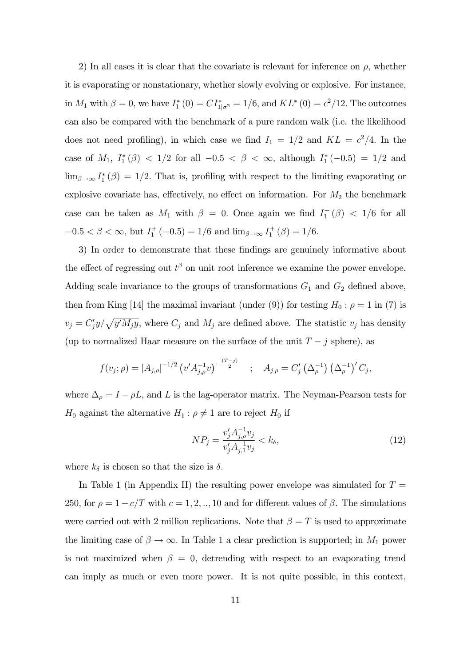2) In all cases it is clear that the covariate is relevant for inference on  $\rho$ , whether it is evaporating or nonstationary, whether slowly evolving or explosive. For instance, in  $M_1$  with  $\beta = 0$ , we have  $I_1^*(0) = CI_{1|\sigma^2}^* = 1/6$ , and  $KL^*(0) = c^2/12$ . The outcomes can also be compared with the benchmark of a pure random walk (i.e. the likelihood does not need profiling), in which case we find  $I_1 = 1/2$  and  $KL = c^2/4$ . In the case of  $M_1$ ,  $I_1^*(\beta) < 1/2$  for all  $-0.5 < \beta < \infty$ , although  $I_1^*(-0.5) = 1/2$  and  $\lim_{\beta \to \infty} I_1^*(\beta) = 1/2$ . That is, profiling with respect to the limiting evaporating or explosive covariate has, effectively, no effect on information. For  $M_2$  the benchmark case can be taken as  $M_1$  with  $\beta = 0$ . Once again we find  $I_1^+(\beta) < 1/6$  for all  $-0.5 < \beta < \infty$ , but  $I_1^+(-0.5) = 1/6$  and  $\lim_{\beta \to \infty} I_1^+(\beta) = 1/6$ .

3) In order to demonstrate that these findings are genuinely informative about the effect of regressing out  $t^{\beta}$  on unit root inference we examine the power envelope. Adding scale invariance to the groups of transformations  $G_1$  and  $G_2$  defined above, then from King [14] the maximal invariant (under (9)) for testing  $H_0: \rho = 1$  in (7) is  $v_j = C'_j y / \sqrt{y' M_j y}$ , where  $C_j$  and  $M_j$  are defined above. The statistic  $v_j$  has density (up to normalized Haar measure on the surface of the unit  $T - j$  sphere), as

$$
f(v_j; \rho) = |A_{j,\rho}|^{-1/2} \left( v' A_{j,\rho}^{-1} v \right)^{-\frac{(T-j)}{2}} \quad ; \quad A_{j,\rho} = C'_j \left( \Delta_{\rho}^{-1} \right) \left( \Delta_{\rho}^{-1} \right)' C_j,
$$

where  $\Delta_{\rho} = I - \rho L$ , and L is the lag-operator matrix. The Neyman-Pearson tests for  $H_0$  against the alternative  $H_1$ :  $\rho \neq 1$  are to reject  $H_0$  if

$$
NP_j = \frac{v_j' A_{j,\rho}^{-1} v_j}{v_j' A_{j,1}^{-1} v_j} < k_\delta,\tag{12}
$$

where  $k_{\delta}$  is chosen so that the size is  $\delta$ .

In Table 1 (in Appendix II) the resulting power envelope was simulated for  $T =$ 250, for  $\rho = 1 - c/T$  with  $c = 1, 2, ..., 10$  and for different values of  $\beta$ . The simulations were carried out with 2 million replications. Note that  $\beta = T$  is used to approximate the limiting case of  $\beta \to \infty$ . In Table 1 a clear prediction is supported; in  $M_1$  power is not maximized when  $\beta = 0$ , detrending with respect to an evaporating trend can imply as much or even more power. It is not quite possible, in this context,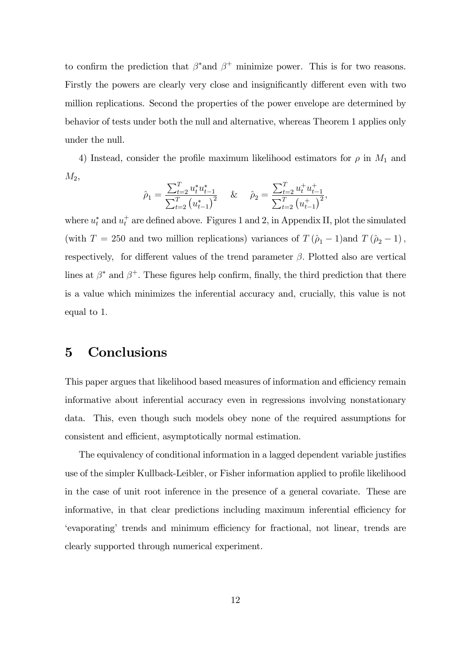to confirm the prediction that  $\beta^*$  and  $\beta^+$  minimize power. This is for two reasons. Firstly the powers are clearly very close and insignificantly different even with two million replications. Second the properties of the power envelope are determined by behavior of tests under both the null and alternative, whereas Theorem 1 applies only under the null.

4) Instead, consider the profile maximum likelihood estimators for  $\rho$  in  $M_1$  and  $M_2$ 

$$
\hat{\rho}_1 = \frac{\sum_{t=2}^T u_t^* u_{t-1}^*}{\sum_{t=2}^T (u_{t-1}^*)^2} \quad \& \quad \hat{\rho}_2 = \frac{\sum_{t=2}^T u_t^+ u_{t-1}^*}{\sum_{t=2}^T (u_{t-1}^*)^2},
$$

where  $u_t^*$  and  $u_t^+$  are defined above. Figures 1 and 2, in Appendix II, plot the simulated (with  $T = 250$  and two million replications) variances of  $T (\hat{\rho}_1 - 1)$  and  $T (\hat{\rho}_2 - 1)$ ; respectively, for different values of the trend parameter  $\beta$ . Plotted also are vertical lines at  $\beta^*$  and  $\beta^+$ . These figures help confirm, finally, the third prediction that there is a value which minimizes the inferential accuracy and, crucially, this value is not equal to 1:

## 5 Conclusions

This paper argues that likelihood based measures of information and efficiency remain informative about inferential accuracy even in regressions involving nonstationary data. This, even though such models obey none of the required assumptions for consistent and efficient, asymptotically normal estimation.

The equivalency of conditional information in a lagged dependent variable justifies use of the simpler Kullback-Leibler, or Fisher information applied to profile likelihood in the case of unit root inference in the presence of a general covariate. These are informative, in that clear predictions including maximum inferential efficiency for 'evaporating' trends and minimum efficiency for fractional, not linear, trends are clearly supported through numerical experiment.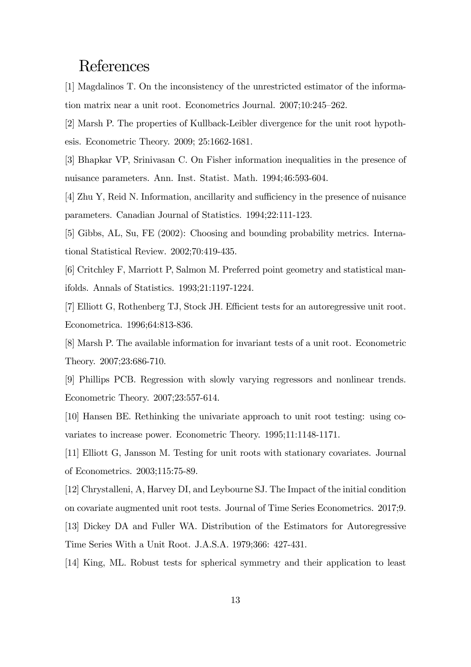## References

[1] Magdalinos T. On the inconsistency of the unrestricted estimator of the information matrix near a unit root. Econometrics Journal.  $2007;10:245-262$ .

[2] Marsh P. The properties of Kullback-Leibler divergence for the unit root hypothesis. Econometric Theory. 2009; 25:1662-1681.

[3] Bhapkar VP, Srinivasan C. On Fisher information inequalities in the presence of nuisance parameters. Ann. Inst. Statist. Math. 1994;46:593-604.

[4] Zhu Y, Reid N. Information, ancillarity and sufficiency in the presence of nuisance parameters. Canadian Journal of Statistics. 1994;22:111-123.

[5] Gibbs, AL, Su, FE (2002): Choosing and bounding probability metrics. International Statistical Review. 2002;70:419-435.

[6] Critchley F, Marriott P, Salmon M. Preferred point geometry and statistical manifolds. Annals of Statistics. 1993;21:1197-1224.

[7] Elliott G, Rothenberg TJ, Stock JH. Efficient tests for an autoregressive unit root. Econometrica. 1996;64:813-836.

[8] Marsh P. The available information for invariant tests of a unit root. Econometric Theory. 2007;23:686-710.

[9] Phillips PCB. Regression with slowly varying regressors and nonlinear trends. Econometric Theory. 2007;23:557-614.

[10] Hansen BE. Rethinking the univariate approach to unit root testing: using covariates to increase power. Econometric Theory. 1995;11:1148-1171.

[11] Elliott G, Jansson M. Testing for unit roots with stationary covariates. Journal of Econometrics. 2003;115:75-89.

[12] Chrystalleni, A, Harvey DI, and Leybourne SJ. The Impact of the initial condition on covariate augmented unit root tests. Journal of Time Series Econometrics. 2017;9.

[13] Dickey DA and Fuller WA. Distribution of the Estimators for Autoregressive Time Series With a Unit Root. J.A.S.A. 1979;366: 427-431.

[14] King, ML. Robust tests for spherical symmetry and their application to least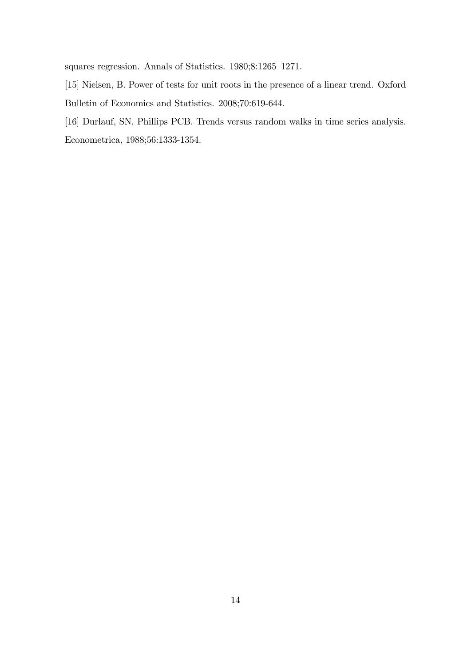squares regression. Annals of Statistics.  $1980;8:1265-1271$ .

- [15] Nielsen, B. Power of tests for unit roots in the presence of a linear trend. Oxford Bulletin of Economics and Statistics. 2008;70:619-644.
- [16] Durlauf, SN, Phillips PCB. Trends versus random walks in time series analysis. Econometrica, 1988;56:1333-1354.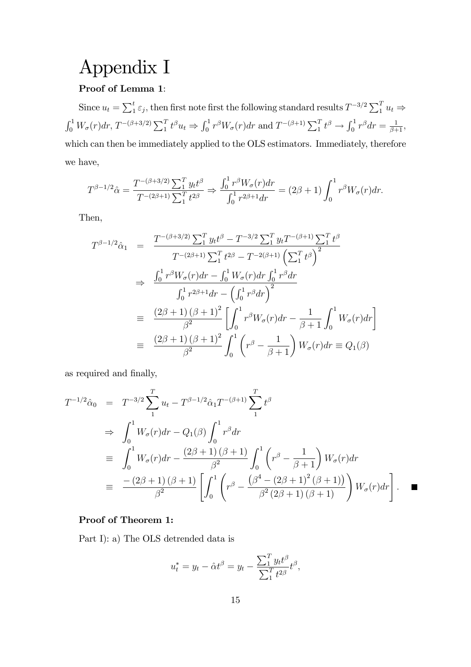## Appendix I

#### Proof of Lemma 1:

Since  $u_t = \sum_1^t \varepsilon_j$ , then first note first the following standard results  $T^{-3/2} \sum_1^T u_t \Rightarrow$  $\int_0^1 W_\sigma(r) dr$ ,  $T^{-(\beta+3/2)} \sum_1^T t^\beta u_t \Rightarrow \int_0^1 r^\beta W_\sigma(r) dr$  and  $T^{-(\beta+1)} \sum_1^T t^\beta \rightarrow \int_0^1 r^\beta dr = \frac{1}{\beta+1}$ , which can then be immediately applied to the OLS estimators. Immediately, therefore we have,

$$
T^{\beta-1/2}\hat{\alpha} = \frac{T^{-(\beta+3/2)}\sum_{1}^{T} y_t t^{\beta}}{T^{-(2\beta+1)}\sum_{1}^{T} t^{2\beta}} \Rightarrow \frac{\int_0^1 r^{\beta} W_{\sigma}(r) dr}{\int_0^1 r^{2\beta+1} dr} = (2\beta+1) \int_0^1 r^{\beta} W_{\sigma}(r) dr.
$$

Then,

$$
T^{\beta-1/2}\hat{\alpha}_1 = \frac{T^{-(\beta+3/2)}\sum_1^T y_t t^{\beta} - T^{-3/2}\sum_1^T y_t T^{-(\beta+1)}\sum_1^T t^{\beta}}{T^{-(2\beta+1)}\sum_1^T t^{2\beta} - T^{-2(\beta+1)}\left(\sum_1^T t^{\beta}\right)^2}
$$
  
\n
$$
\Rightarrow \frac{\int_0^1 r^{\beta} W_{\sigma}(r) dr - \int_0^1 W_{\sigma}(r) dr \int_0^1 r^{\beta} dr}{\int_0^1 r^{2\beta+1} dr - \left(\int_0^1 r^{\beta} dr\right)^2}
$$
  
\n
$$
\equiv \frac{(2\beta+1)(\beta+1)^2}{\beta^2} \left[\int_0^1 r^{\beta} W_{\sigma}(r) dr - \frac{1}{\beta+1} \int_0^1 W_{\sigma}(r) dr\right]
$$
  
\n
$$
\equiv \frac{(2\beta+1)(\beta+1)^2}{\beta^2} \int_0^1 \left(r^{\beta} - \frac{1}{\beta+1}\right) W_{\sigma}(r) dr \equiv Q_1(\beta)
$$

as required and finally,

$$
T^{-1/2}\hat{\alpha}_0 = T^{-3/2} \sum_{1}^{T} u_t - T^{\beta - 1/2} \hat{\alpha}_1 T^{-(\beta + 1)} \sum_{1}^{T} t^{\beta}
$$
  
\n
$$
\Rightarrow \int_0^1 W_\sigma(r) dr - Q_1(\beta) \int_0^1 r^\beta dr
$$
  
\n
$$
\equiv \int_0^1 W_\sigma(r) dr - \frac{(2\beta + 1)(\beta + 1)}{\beta^2} \int_0^1 \left( r^\beta - \frac{1}{\beta + 1} \right) W_\sigma(r) dr
$$
  
\n
$$
\equiv \frac{-(2\beta + 1)(\beta + 1)}{\beta^2} \left[ \int_0^1 \left( r^\beta - \frac{(\beta^4 - (2\beta + 1)^2 (\beta + 1))}{\beta^2 (2\beta + 1) (\beta + 1)} \right) W_\sigma(r) dr \right]. \quad \blacksquare
$$

#### Proof of Theorem 1:

Part I): a) The OLS detrended data is

$$
u_t^* = y_t - \hat{\alpha}t^{\beta} = y_t - \frac{\sum_{1}^{T} y_t t^{\beta}}{\sum_{1}^{T} t^{2\beta}} t^{\beta},
$$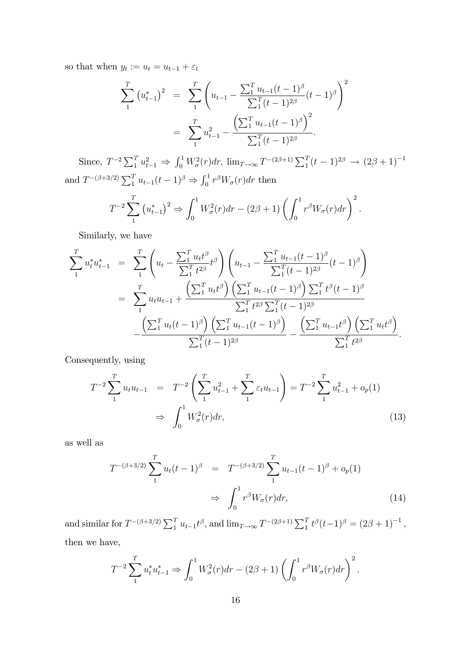so that when  $y_t := u_t = u_{t-1} + \varepsilon_t$ 

$$
\sum_{1}^{T} (u_{t-1}^{*})^{2} = \sum_{1}^{T} \left( u_{t-1} - \frac{\sum_{1}^{T} u_{t-1}(t-1)^{\beta}}{\sum_{1}^{T} (t-1)^{2\beta}} (t-1)^{\beta} \right)^{2}
$$

$$
= \sum_{1}^{T} u_{t-1}^{2} - \frac{\left( \sum_{1}^{T} u_{t-1}(t-1)^{\beta} \right)^{2}}{\sum_{1}^{T} (t-1)^{2\beta}}.
$$

Since,  $T^{-2} \sum_{1}^{T} u_{t-1}^2 \Rightarrow \int_0^1 W_\sigma^2(r) dr$ ,  $\lim_{T \to \infty} T^{-(2\beta+1)} \sum_{1}^{T} (t-1)^{2\beta} \rightarrow (2\beta+1)^{-1}$ and  $T^{-(\beta+3/2)}\sum_{1}^{T} u_{t-1}(t-1)^{\beta} \Rightarrow \int_{0}^{1} r^{\beta} W_{\sigma}(r) dr$  then

$$
T^{-2} \sum_{1}^{T} (u_{t-1}^{*})^{2} \Rightarrow \int_{0}^{1} W_{\sigma}^{2}(r) dr - (2\beta + 1) \left( \int_{0}^{1} r^{\beta} W_{\sigma}(r) dr \right)^{2}.
$$

Similarly, we have

$$
\sum_{1}^{T} u_{t}^{*} u_{t-1}^{*} = \sum_{1}^{T} \left( u_{t} - \frac{\sum_{1}^{T} u_{t} t^{\beta}}{\sum_{1}^{T} t^{2\beta}} t^{\beta} \right) \left( u_{t-1} - \frac{\sum_{1}^{T} u_{t-1} (t-1)^{\beta}}{\sum_{1}^{T} (t-1)^{2\beta}} (t-1)^{\beta} \right)
$$
\n
$$
= \sum_{1}^{T} u_{t} u_{t-1} + \frac{\left( \sum_{1}^{T} u_{t} t^{\beta} \right) \left( \sum_{1}^{T} u_{t-1} (t-1)^{\beta} \right) \sum_{1}^{T} t^{\beta} (t-1)^{\beta}}{\sum_{1}^{T} t^{2\beta} \sum_{1}^{T} (t-1)^{2\beta}} - \frac{\left( \sum_{1}^{T} u_{t} (t-1)^{\beta} \right) \left( \sum_{1}^{T} u_{t-1} (t-1)^{\beta} \right)}{\sum_{1}^{T} (t-1)^{2\beta}} - \frac{\left( \sum_{1}^{T} u_{t-1} t^{\beta} \right) \left( \sum_{1}^{T} u_{t} t^{\beta} \right)}{\sum_{1}^{T} t^{2\beta}}.
$$

Consequently, using

$$
T^{-2} \sum_{1}^{T} u_t u_{t-1} = T^{-2} \left( \sum_{1}^{T} u_{t-1}^2 + \sum_{1}^{T} \varepsilon_t u_{t-1} \right) = T^{-2} \sum_{1}^{T} u_{t-1}^2 + o_p(1)
$$
  

$$
\Rightarrow \int_0^1 W_\sigma^2(r) dr,
$$
 (13)

as well as

$$
T^{-(\beta+3/2)} \sum_{1}^{T} u_t (t-1)^{\beta} = T^{-(\beta+3/2)} \sum_{1}^{T} u_{t-1} (t-1)^{\beta} + o_p(1)
$$
  

$$
\Rightarrow \int_0^1 r^{\beta} W_{\sigma}(r) dr,
$$
 (14)

and similar for  $T^{-(\beta+3/2)}\sum_{1}^{T} u_{t-1}t^{\beta}$ , and  $\lim_{T\to\infty} T^{-(2\beta+1)}\sum_{1}^{T} t^{\beta}(t-1)^{\beta} = (2\beta+1)^{-1}$ , then we have,

$$
T^{-2} \sum_{1}^{T} u_t^* u_{t-1}^* \Rightarrow \int_0^1 W_\sigma^2(r) dr - (2\beta + 1) \left( \int_0^1 r^\beta W_\sigma(r) dr \right)^2.
$$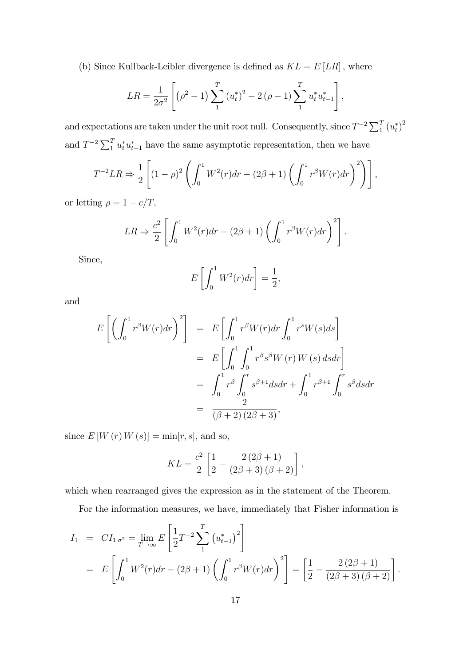(b) Since Kullback-Leibler divergence is defined as  $KL = E[LR]$ , where

$$
LR = \frac{1}{2\sigma^2} \left[ \left( \rho^2 - 1 \right) \sum_{1}^{T} \left( u_t^* \right)^2 - 2 \left( \rho - 1 \right) \sum_{1}^{T} u_t^* u_{t-1}^* \right],
$$

and expectations are taken under the unit root null. Consequently, since  $T^{-2} \sum_{1}^{T} (u_t^*)^2$ and  $T^{-2} \sum_{1}^{T} u_t^* u_{t-1}^*$  have the same asymptotic representation, then we have

$$
T^{-2}LR \Rightarrow \frac{1}{2} \left[ (1 - \rho)^2 \left( \int_0^1 W^2(r) dr - (2\beta + 1) \left( \int_0^1 r^{\beta} W(r) dr \right)^2 \right) \right],
$$

or letting  $\rho = 1 - c/T$ ,

$$
LR \Rightarrow \frac{c^2}{2} \left[ \int_0^1 W^2(r) dr - (2\beta + 1) \left( \int_0^1 r^\beta W(r) dr \right)^2 \right].
$$

Since,

$$
E\left[\int_0^1 W^2(r)dr\right] = \frac{1}{2},
$$

and

$$
E\left[\left(\int_0^1 r^\beta W(r) dr\right)^2\right] = E\left[\int_0^1 r^\beta W(r) dr \int_0^1 r^s W(s) ds\right]
$$
  

$$
= E\left[\int_0^1 \int_0^1 r^\beta s^\beta W(r) W(s) ds dr\right]
$$
  

$$
= \int_0^1 r^\beta \int_0^r s^{\beta+1} ds dr + \int_0^1 r^{\beta+1} \int_0^r s^\beta ds dr
$$
  

$$
= \frac{2}{(\beta+2)(2\beta+3)},
$$

since  $E[W(r)W(s)] = \min[r, s]$ , and so,

$$
KL = \frac{c^2}{2} \left[ \frac{1}{2} - \frac{2(2\beta + 1)}{(2\beta + 3)(\beta + 2)} \right],
$$

which when rearranged gives the expression as in the statement of the Theorem.

For the information measures, we have, immediately that Fisher information is

$$
I_1 = CI_{1|\sigma^2} = \lim_{T \to \infty} E\left[\frac{1}{2}T^{-2} \sum_{1}^{T} (u_{t-1}^*)^2\right]
$$
  
= 
$$
E\left[\int_0^1 W^2(r)dr - (2\beta + 1)\left(\int_0^1 r^\beta W(r)dr\right)^2\right] = \left[\frac{1}{2} - \frac{2(2\beta + 1)}{(2\beta + 3)(\beta + 2)}\right].
$$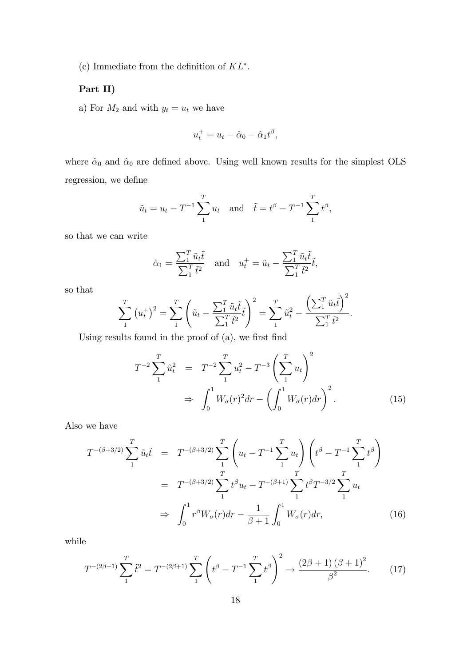(c) Immediate from the definition of  $KL^*$ .

#### Part II)

a) For  $M_2$  and with  $y_t = u_t$  we have

$$
u_t^+ = u_t - \hat{\alpha}_0 - \hat{\alpha}_1 t^\beta,
$$

where  $\hat{\alpha}_0$  and  $\hat{\alpha}_0$  are defined above. Using well known results for the simplest OLS regression, we define

$$
\tilde{u}_t = u_t - T^{-1} \sum_{1}^{T} u_t
$$
 and  $\tilde{t} = t^{\beta} - T^{-1} \sum_{1}^{T} t^{\beta}$ ,

so that we can write

$$
\hat{\alpha}_1 = \frac{\sum_1^T \tilde{u}_t \tilde{t}}{\sum_1^T \tilde{t}^2} \quad \text{and} \quad u_t^+ = \tilde{u}_t - \frac{\sum_1^T \tilde{u}_t \tilde{t}}{\sum_1^T \tilde{t}^2} \tilde{t},
$$

so that

$$
\sum_{1}^{T} (u_t^{\dagger})^2 = \sum_{1}^{T} \left(\tilde{u}_t - \frac{\sum_{1}^{T} \tilde{u}_t \tilde{t}}{\sum_{1}^{T} \tilde{t}^2} \tilde{t}\right)^2 = \sum_{1}^{T} \tilde{u}_t^2 - \frac{\left(\sum_{1}^{T} \tilde{u}_t \tilde{t}\right)^2}{\sum_{1}^{T} \tilde{t}^2}.
$$

Using results found in the proof of  $(a)$ , we first find

$$
T^{-2} \sum_{1}^{T} \tilde{u}_{t}^{2} = T^{-2} \sum_{1}^{T} u_{t}^{2} - T^{-3} \left( \sum_{1}^{T} u_{t} \right)^{2}
$$

$$
\Rightarrow \int_{0}^{1} W_{\sigma}(r)^{2} dr - \left( \int_{0}^{1} W_{\sigma}(r) dr \right)^{2} . \tag{15}
$$

Also we have

$$
T^{-(\beta+3/2)} \sum_{1}^{T} \tilde{u}_{t} \tilde{t} = T^{-(\beta+3/2)} \sum_{1}^{T} \left( u_{t} - T^{-1} \sum_{1}^{T} u_{t} \right) \left( t^{\beta} - T^{-1} \sum_{1}^{T} t^{\beta} \right)
$$
  

$$
= T^{-(\beta+3/2)} \sum_{1}^{T} t^{\beta} u_{t} - T^{-(\beta+1)} \sum_{1}^{T} t^{\beta} T^{-3/2} \sum_{1}^{T} u_{t}
$$
  

$$
\Rightarrow \int_{0}^{1} r^{\beta} W_{\sigma}(r) dr - \frac{1}{\beta+1} \int_{0}^{1} W_{\sigma}(r) dr, \qquad (16)
$$

while

$$
T^{-(2\beta+1)}\sum_{1}^{T} \tilde{t}^{2} = T^{-(2\beta+1)}\sum_{1}^{T} \left(t^{\beta} - T^{-1}\sum_{1}^{T} t^{\beta}\right)^{2} \to \frac{(2\beta+1)\left(\beta+1\right)^{2}}{\beta^{2}}.\tag{17}
$$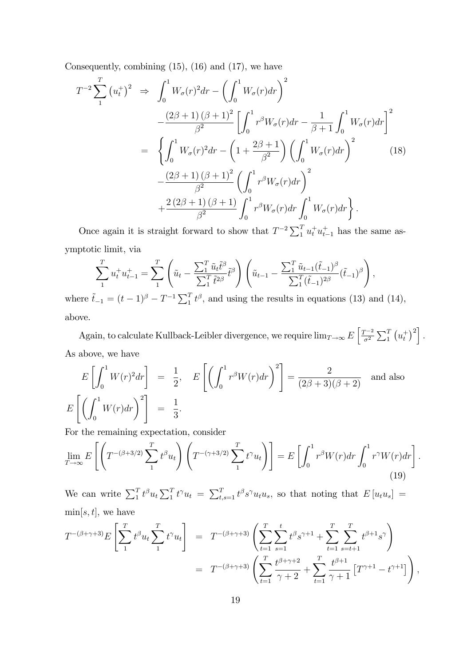Consequently, combining (15), (16) and (17), we have

$$
T^{-2} \sum_{1}^{T} (u_{t}^{+})^{2} \Rightarrow \int_{0}^{1} W_{\sigma}(r)^{2} dr - \left(\int_{0}^{1} W_{\sigma}(r) dr\right)^{2} -\frac{(2\beta + 1)(\beta + 1)^{2}}{\beta^{2}} \left[\int_{0}^{1} r^{\beta} W_{\sigma}(r) dr - \frac{1}{\beta + 1} \int_{0}^{1} W_{\sigma}(r) dr\right]^{2} -\left\{\int_{0}^{1} W_{\sigma}(r)^{2} dr - \left(1 + \frac{2\beta + 1}{\beta^{2}}\right) \left(\int_{0}^{1} W_{\sigma}(r) dr\right)^{2} -\frac{(2\beta + 1)(\beta + 1)^{2}}{\beta^{2}} \left(\int_{0}^{1} r^{\beta} W_{\sigma}(r) dr\right)^{2} +\frac{2(2\beta + 1)(\beta + 1)}{\beta^{2}} \int_{0}^{1} r^{\beta} W_{\sigma}(r) dr \int_{0}^{1} W_{\sigma}(r) dr \Bigg\}.
$$
\n(18)

Once again it is straight forward to show that  $T^{-2} \sum_{1}^{T} u_t^+ u_{t-1}^+$  has the same asymptotic limit, via

$$
\sum_{1}^{T} u_t^+ u_{t-1}^+ = \sum_{1}^{T} \left( \tilde{u}_t - \frac{\sum_{1}^{T} \tilde{u}_t \tilde{t}^{\beta}}{\sum_{1}^{T} \tilde{t}^{2\beta}} \tilde{t}^{\beta} \right) \left( \tilde{u}_{t-1} - \frac{\sum_{1}^{T} \tilde{u}_{t-1} (\tilde{t}_{-1})^{\beta}}{\sum_{1}^{T} (\tilde{t}_{-1})^{2\beta}} (\tilde{t}_{-1})^{\beta} \right),
$$

where  $\tilde{t}_{-1} = (t-1)^{\beta} - T^{-1} \sum_{1}^{T} t^{\beta}$ , and using the results in equations (13) and (14), above.

Again, to calculate Kullback-Leibler divergence, we require  $\lim_{T\to\infty} E\left[\frac{T^{-2}}{\sigma^2}\right]$  $\frac{1}{\sigma^2} \sum_{1}^{T} (u_t^+)^2$ . As above, we have

$$
E\left[\int_0^1 W(r)^2 dr\right] = \frac{1}{2}, \quad E\left[\left(\int_0^1 r^\beta W(r) dr\right)^2\right] = \frac{2}{(2\beta + 3)(\beta + 2)} \quad \text{and also}
$$

$$
E\left[\left(\int_0^1 W(r) dr\right)^2\right] = \frac{1}{3}.
$$

For the remaining expectation, consider

$$
\lim_{T \to \infty} E\left[ \left( T^{-(\beta+3/2)} \sum_{1}^{T} t^{\beta} u_t \right) \left( T^{-(\gamma+3/2)} \sum_{1}^{T} t^{\gamma} u_t \right) \right] = E\left[ \int_0^1 r^{\beta} W(r) dr \int_0^1 r^{\gamma} W(r) dr \right].
$$
\n(19)

We can write  $\sum_{1}^{T} t^{\beta} u_t \sum_{1}^{T} t^{\gamma} u_t = \sum_{t,s=1}^{T} t^{\beta} s^{\gamma} u_t u_s$ , so that noting that  $E[u_t u_s] =$  $\min[s, t]$ , we have

$$
T^{-(\beta+\gamma+3)}E\left[\sum_{1}^{T}t^{\beta}u_{t}\sum_{1}^{T}t^{\gamma}u_{t}\right] = T^{-(\beta+\gamma+3)}\left(\sum_{t=1}^{T}\sum_{s=1}^{t}t^{\beta}s^{\gamma+1} + \sum_{t=1}^{T}\sum_{s=t+1}^{T}t^{\beta+1}s^{\gamma}\right)
$$
  
= 
$$
T^{-(\beta+\gamma+3)}\left(\sum_{t=1}^{T}\frac{t^{\beta+\gamma+2}}{\gamma+2} + \sum_{t=1}^{T}\frac{t^{\beta+1}}{\gamma+1}\left[T^{\gamma+1}-t^{\gamma+1}\right]\right),
$$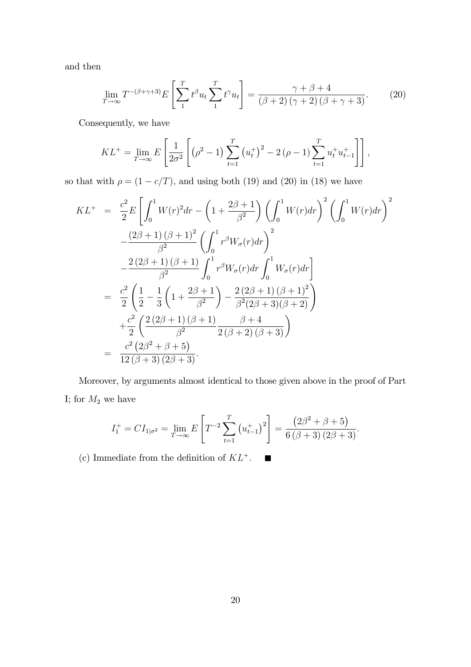and then

$$
\lim_{T \to \infty} T^{-(\beta + \gamma + 3)} E\left[\sum_{1}^{T} t^{\beta} u_t \sum_{1}^{T} t^{\gamma} u_t\right] = \frac{\gamma + \beta + 4}{(\beta + 2)(\gamma + 2)(\beta + \gamma + 3)}.
$$
 (20)

Consequently, we have

$$
KL^{+} = \lim_{T \to \infty} E\left[\frac{1}{2\sigma^2} \left[ \left(\rho^2 - 1\right) \sum_{t=1}^{T} \left(u_t^{+}\right)^2 - 2\left(\rho - 1\right) \sum_{t=1}^{T} u_t^{+} u_{t-1}^{+} \right] \right],
$$

so that with  $\rho = (1 - c/T)$ , and using both (19) and (20) in (18) we have

$$
KL^{+} = \frac{c^{2}}{2}E\left[\int_{0}^{1} W(r)^{2} dr - \left(1 + \frac{2\beta + 1}{\beta^{2}}\right) \left(\int_{0}^{1} W(r) dr\right)^{2} \left(\int_{0}^{1} W(r) dr\right)^{2} - \frac{(2\beta + 1)(\beta + 1)^{2}}{\beta^{2}} \left(\int_{0}^{1} r^{\beta} W_{\sigma}(r) dr\right)^{2} - \frac{2(2\beta + 1)(\beta + 1)}{\beta^{2}} \int_{0}^{1} r^{\beta} W_{\sigma}(r) dr \int_{0}^{1} W_{\sigma}(r) dr \right]
$$
  
\n
$$
= \frac{c^{2}}{2} \left(\frac{1}{2} - \frac{1}{3} \left(1 + \frac{2\beta + 1}{\beta^{2}}\right) - \frac{2(2\beta + 1)(\beta + 1)^{2}}{\beta^{2}(2\beta + 3)(\beta + 2)}\right)
$$
  
\n
$$
+ \frac{c^{2}}{2} \left(\frac{2(2\beta + 1)(\beta + 1)}{\beta^{2}} \frac{\beta + 4}{2(\beta + 2)(\beta + 3)}\right)
$$
  
\n
$$
= \frac{c^{2}(2\beta^{2} + \beta + 5)}{12(\beta + 3)(2\beta + 3)}.
$$

Moreover, by arguments almost identical to those given above in the proof of Part I; for  $M_2$  we have

$$
I_1^+ = CI_{1|\sigma^2} = \lim_{T \to \infty} E\left[T^{-2} \sum_{t=1}^T \left(u_{t-1}^+\right)^2\right] = \frac{\left(2\beta^2 + \beta + 5\right)}{6\left(\beta + 3\right)\left(2\beta + 3\right)}.
$$

(c) Immediate from the definition of  $KL^+$ .  $\qquad \qquad \blacksquare$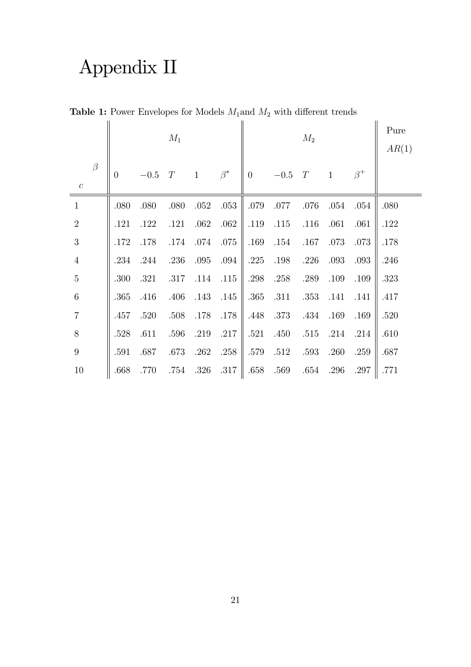# Appendix II

|                             |          |        | $M_1$ |              |           |                |          | $M_2$ |              |           | Pure<br>AR(1) |
|-----------------------------|----------|--------|-------|--------------|-----------|----------------|----------|-------|--------------|-----------|---------------|
| $\beta$<br>$\boldsymbol{c}$ | $\theta$ | $-0.5$ | T     | $\mathbf{1}$ | $\beta^*$ | $\overline{0}$ | $-0.5$   | T     | $\mathbf{1}$ | $\beta^+$ |               |
| $1\,$                       | .080     | .080   | .080  | .052         | .053      | .079           | .077     | .076  | .054         | .054      | .080          |
| $\overline{2}$              | .121     | .122   | .121  | .062         | .062      | .119           | $.115$   | .116  | .061         | .061      | .122          |
| $\sqrt{3}$                  | .172     | .178   | .174  | .074         | .075      | .169           | .154     | .167  | .073         | .073      | .178          |
| $\overline{4}$              | .234     | .244   | .236  | .095         | .094      | .225           | $.198\,$ | .226  | .093         | .093      | .246          |
| $5\,$                       | .300     | .321   | .317  | .114         | .115      | .298           | .258     | .289  | .109         | .109      | .323          |
| $\,6\,$                     | .365     | .416   | .406  | .143         | .145      | .365           | .311     | .353  | .141         | .141      | .417          |
| $\overline{7}$              | .457     | .520   | .508  | .178         | .178      | .448           | .373     | .434  | .169         | .169      | .520          |
| 8                           | .528     | .611   | .596  | .219         | .217      | .521           | .450     | .515  | .214         | .214      | .610          |
| $\boldsymbol{9}$            | .591     | .687   | .673  | .262         | .258      | .579           | .512     | .593  | .260         | .259      | .687          |
| 10                          | .668     | .770   | .754  | .326         | $.317\,$  | .658           | .569     | .654  | .296         | .297      | .771          |

**Table 1:** Power Envelopes for Models  $M_1$  and  $M_2$  with different trends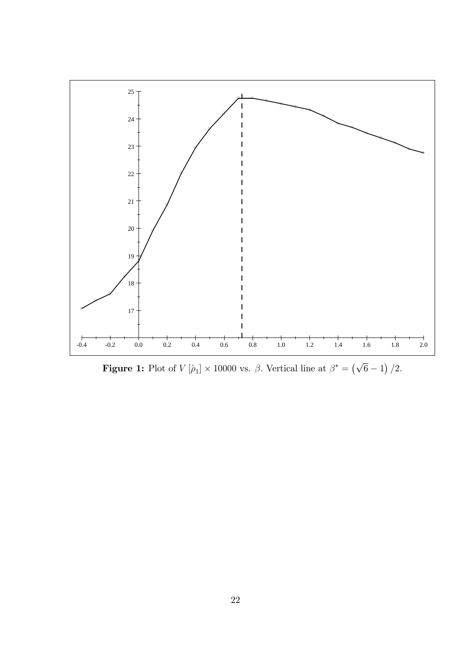

**Figure 1:** Plot of  $V[\hat{\rho}_1] \times 10000$  vs.  $\beta$ . Vertical line at  $\beta^* = (\sqrt{6} - 1)/2$ .